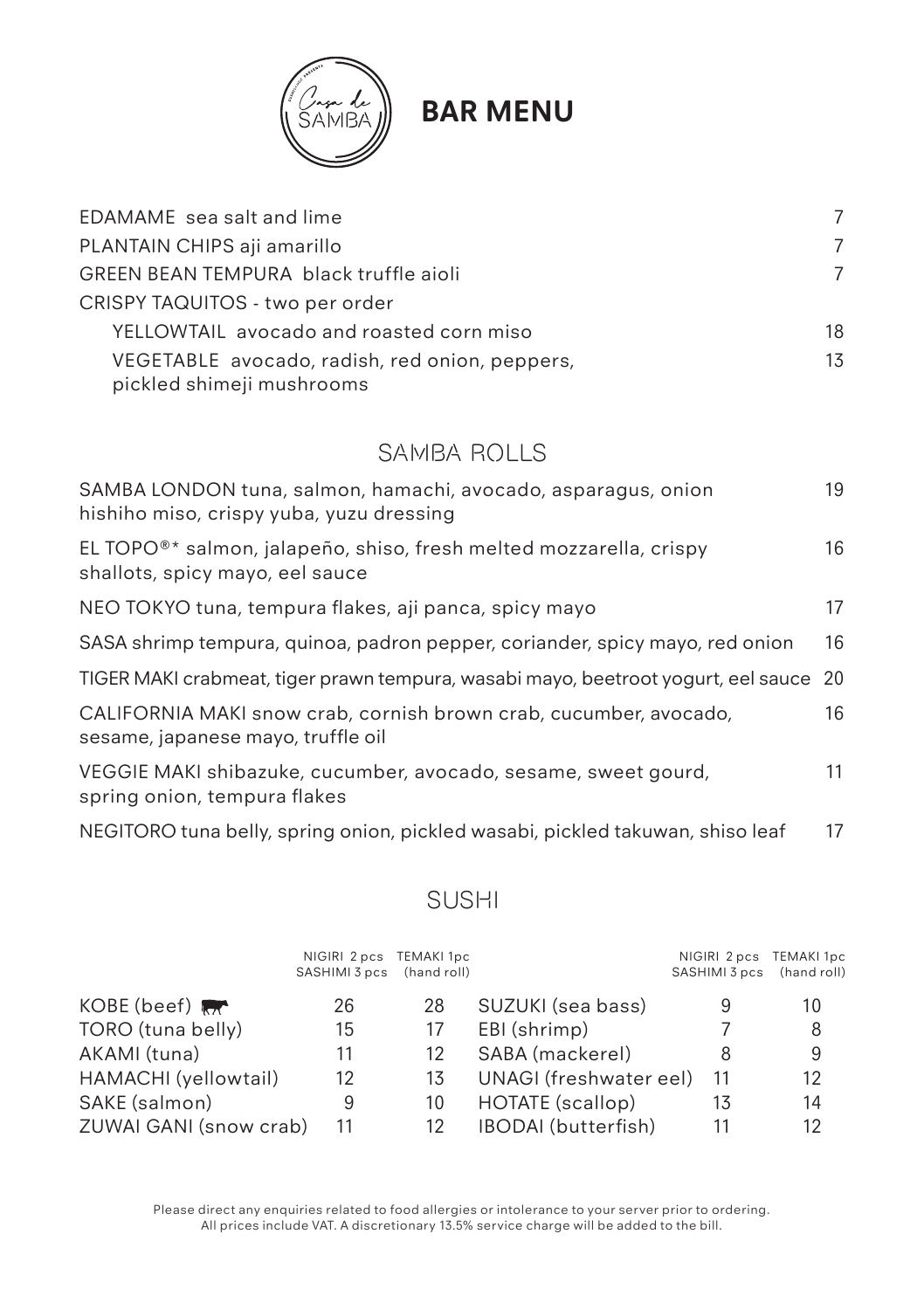

# **BAR MENU**

| EDAMAME sea salt and lime                                                   | 7  |
|-----------------------------------------------------------------------------|----|
| PLANTAIN CHIPS aji amarillo                                                 | 7  |
| <b>GREEN BEAN TEMPURA black truffle aioli</b>                               |    |
| CRISPY TAQUITOS - two per order                                             |    |
| YELLOWTAIL avocado and roasted corn miso                                    | 18 |
| VEGETABLE avocado, radish, red onion, peppers,<br>pickled shimeji mushrooms | 13 |

#### SAMBA ROLLS

| SAMBA LONDON tuna, salmon, hamachi, avocado, asparagus, onion<br>hishiho miso, crispy yuba, yuzu dressing         | 19 |
|-------------------------------------------------------------------------------------------------------------------|----|
| EL TOPO <sup>®*</sup> salmon, jalapeño, shiso, fresh melted mozzarella, crispy<br>shallots, spicy mayo, eel sauce | 16 |
| NEO TOKYO tuna, tempura flakes, aji panca, spicy mayo                                                             | 17 |
| SASA shrimp tempura, quinoa, padron pepper, coriander, spicy mayo, red onion                                      | 16 |
| TIGER MAKI crabmeat, tiger prawn tempura, wasabi mayo, beetroot yogurt, eel sauce                                 | 20 |
| CALIFORNIA MAKI snow crab, cornish brown crab, cucumber, avocado,<br>sesame, japanese mayo, truffle oil           | 16 |
| VEGGIE MAKI shibazuke, cucumber, avocado, sesame, sweet gourd,<br>spring onion, tempura flakes                    | 11 |
| NEGITORO tuna belly, spring onion, pickled wasabi, pickled takuwan, shiso leaf                                    | 17 |

#### SUSHI

|                        | NIGIRI 2 pcs TEMAKI 1pc<br>SASHIMI 3 pcs (hand roll) |    |                        | NIGIRI 2 pcs<br>SASHIMI 3 pcs | TEMAKI 1pc<br>(hand roll) |
|------------------------|------------------------------------------------------|----|------------------------|-------------------------------|---------------------------|
| KOBE (beef)            | 26                                                   | 28 | SUZUKI (sea bass)      | 9                             | 10                        |
| TORO (tuna belly)      | 15                                                   | 17 | EBI (shrimp)           |                               | 8                         |
| AKAMI (tuna)           | 11                                                   | 12 | SABA (mackerel)        |                               | 9                         |
| HAMACHI (yellowtail)   | 12                                                   | 13 | UNAGI (freshwater eel) | 11                            | 12                        |
| SAKE (salmon)          | 9                                                    | 10 | HOTATE (scallop)       | 13                            | 14                        |
| ZUWAI GANI (snow crab) | 11                                                   | 12 | IBODAI (butterfish)    | 11                            | 12                        |

Please direct any enquiries related to food allergies or intolerance to your server prior to ordering. All prices include VAT. A discretionary 13.5% service charge will be added to the bill.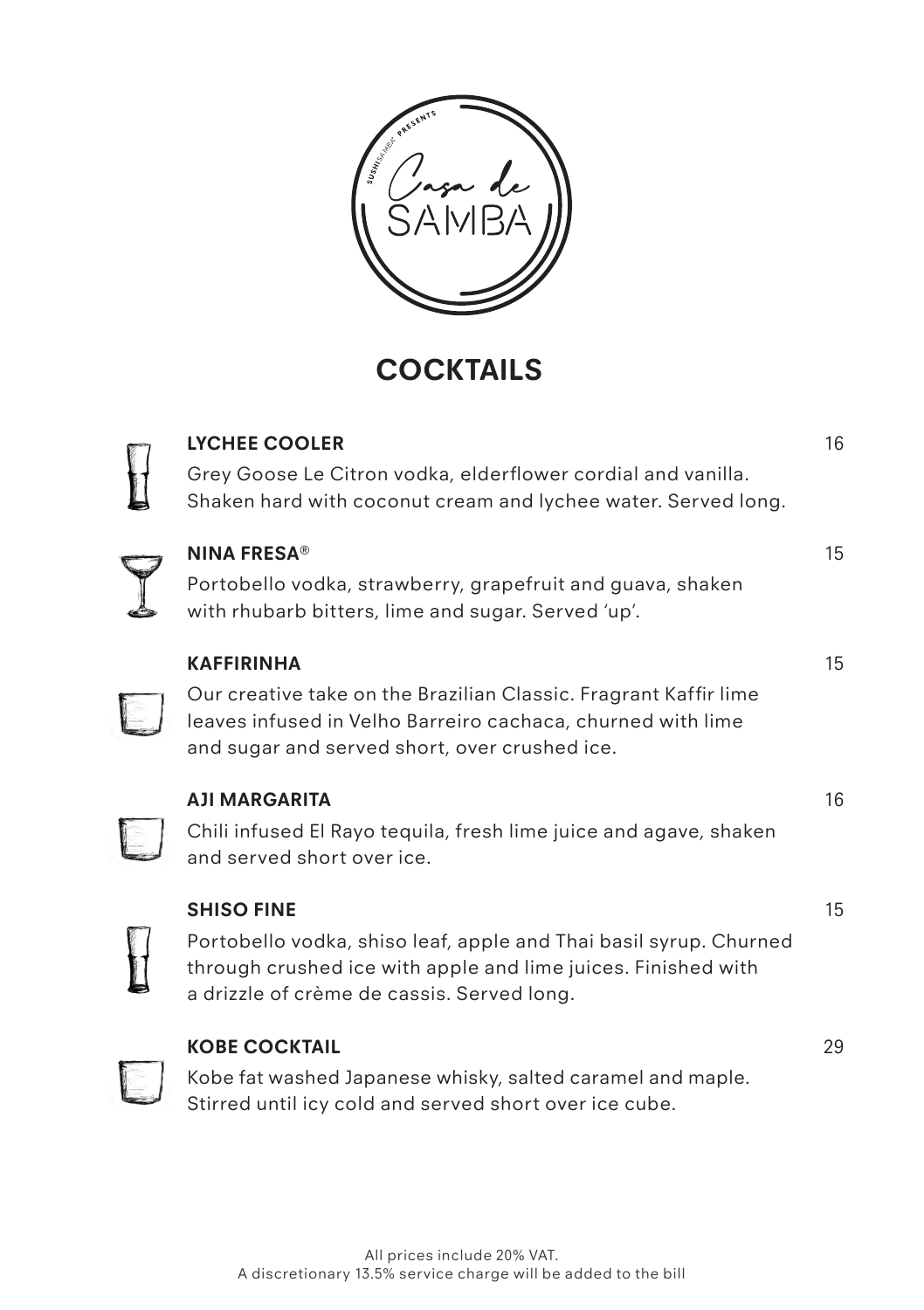

 **COCKTAILS**

| <b>LYCHEE COOLER</b><br>Grey Goose Le Citron vodka, elderflower cordial and vanilla.<br>Shaken hard with coconut cream and lychee water. Served long.                                                 | 16 |
|-------------------------------------------------------------------------------------------------------------------------------------------------------------------------------------------------------|----|
| <b>NINA FRESA®</b><br>Portobello vodka, strawberry, grapefruit and guava, shaken<br>with rhubarb bitters, lime and sugar. Served 'up'.                                                                | 15 |
| <b>KAFFIRINHA</b><br>Our creative take on the Brazilian Classic. Fragrant Kaffir lime<br>leaves infused in Velho Barreiro cachaca, churned with lime<br>and sugar and served short, over crushed ice. | 15 |
| <b>AJI MARGARITA</b><br>Chili infused El Rayo tequila, fresh lime juice and agave, shaken<br>and served short over ice.                                                                               | 16 |
| <b>SHISO FINE</b><br>Portobello vodka, shiso leaf, apple and Thai basil syrup. Churned<br>through crushed ice with apple and lime juices. Finished with<br>a drizzle of crème de cassis. Served long. | 15 |
| <b>KOBE COCKTAIL</b><br>Kobe fat washed Japanese whisky, salted caramel and maple.<br>Stirred until icy cold and served short over ice cube.                                                          | 29 |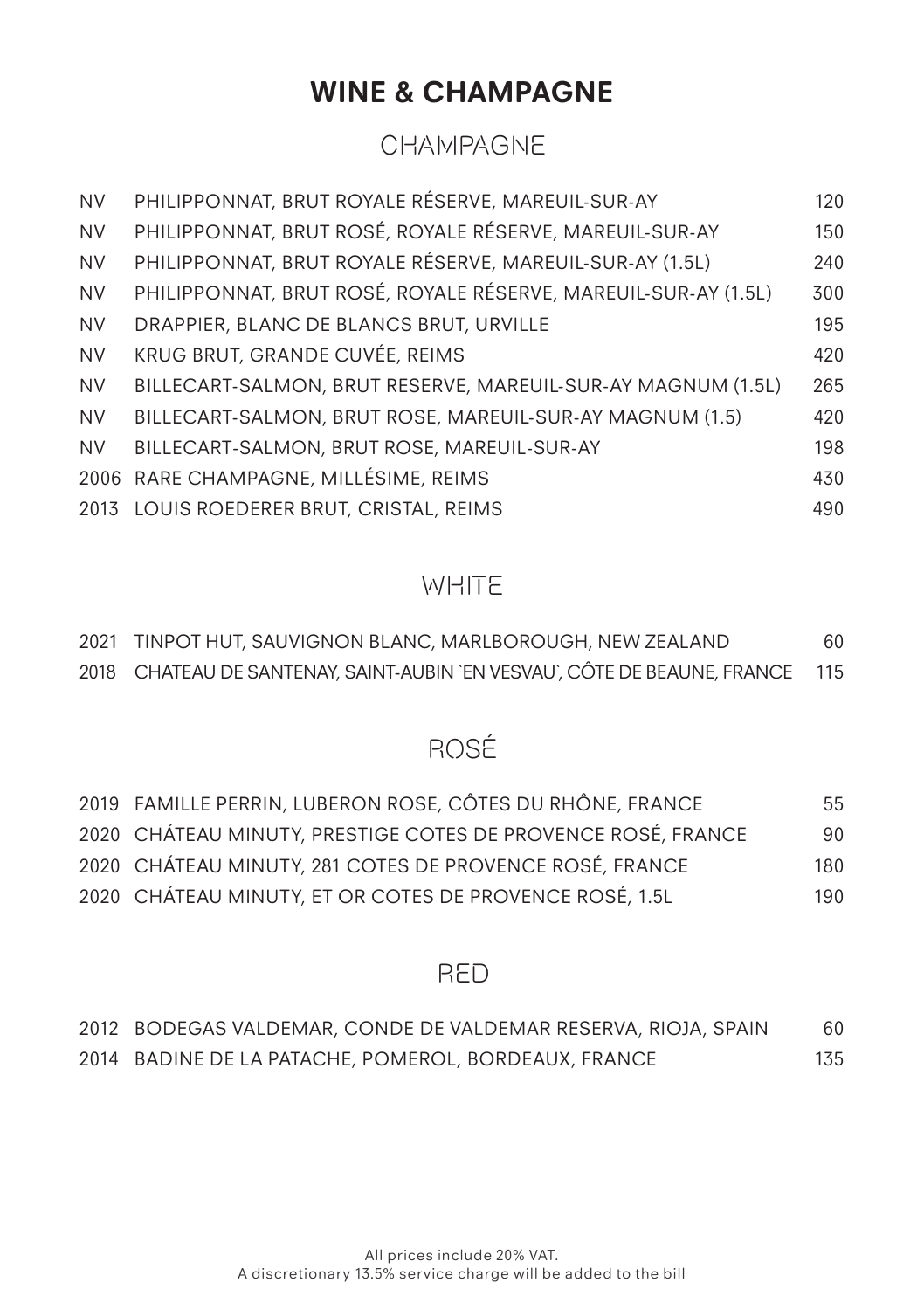# **WINE & CHAMPAGNE**

## CHAMPAGNE

| <b>NV</b> | PHILIPPONNAT, BRUT ROYALE RÉSERVE, MAREUIL-SUR-AY              | 120 |
|-----------|----------------------------------------------------------------|-----|
| <b>NV</b> | PHILIPPONNAT, BRUT ROSÉ, ROYALE RÉSERVE, MAREUIL-SUR-AY        | 150 |
| <b>NV</b> | PHILIPPONNAT, BRUT ROYALE RÉSERVE, MAREUIL-SUR-AY (1.5L)       | 240 |
| <b>NV</b> | PHILIPPONNAT, BRUT ROSÉ, ROYALE RÉSERVE, MAREUIL-SUR-AY (1.5L) | 300 |
| <b>NV</b> | DRAPPIER, BLANC DE BLANCS BRUT, URVILLE                        | 195 |
| <b>NV</b> | KRUG BRUT, GRANDE CUVÉE, REIMS                                 | 420 |
| <b>NV</b> | BILLECART-SALMON, BRUT RESERVE, MAREUIL-SUR-AY MAGNUM (1.5L)   | 265 |
| <b>NV</b> | BILLECART-SALMON, BRUT ROSE, MAREUIL-SUR-AY MAGNUM (1.5)       | 420 |
| <b>NV</b> | BILLECART-SALMON, BRUT ROSE, MAREUIL-SUR-AY                    | 198 |
|           | 2006 RARE CHAMPAGNE, MILLÉSIME, REIMS                          | 430 |
|           | 2013 LOUIS ROEDERER BRUT, CRISTAL, REIMS                       | 490 |

## **WHITE**

| 2021 TINPOT HUT, SAUVIGNON BLANC, MARLBOROUGH, NEW ZEALAND                    | 60 |
|-------------------------------------------------------------------------------|----|
| 2018 CHATEAU DE SANTENAY, SAINT-AUBIN 'EN VESVAU', CÔTE DE BEAUNE, FRANCE 115 |    |

# ROSÉ

| 2019 FAMILLE PERRIN, LUBERON ROSE, CÔTES DU RHÔNE, FRANCE    | 55  |
|--------------------------------------------------------------|-----|
| 2020 CHÁTEAU MINUTY, PRESTIGE COTES DE PROVENCE ROSÉ, FRANCE | 90  |
| 2020 CHÁTEAU MINUTY, 281 COTES DE PROVENCE ROSÉ, FRANCE      | 180 |
| 2020 CHÁTEAU MINUTY, ET OR COTES DE PROVENCE ROSÉ, 1.5L      | 190 |

#### RED

| 2012   BODEGAS VALDEMAR, CONDE DE VALDEMAR RESERVA, RIOJA, SPAIN | 60  |
|------------------------------------------------------------------|-----|
| 2014 BADINE DE LA PATACHE, POMEROL, BORDEAUX, FRANCE             | 135 |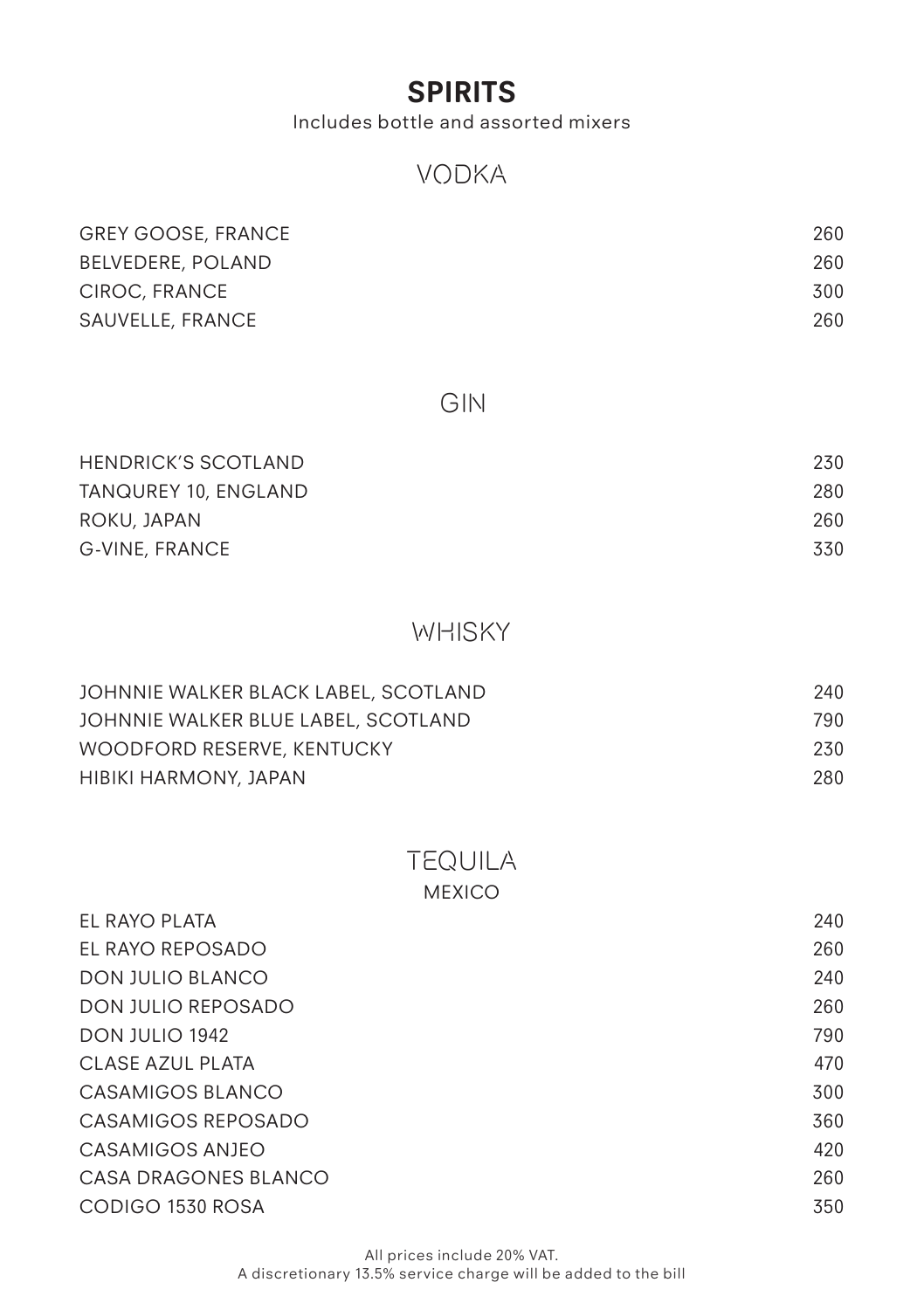## **SPIRITS**

Includes bottle and assorted mixers

#### VODKA

| <b>GREY GOOSE, FRANCE</b> | 260 |
|---------------------------|-----|
| BELVEDERE, POLAND         | 260 |
| CIROC, FRANCE             | 300 |
| SAUVELLE, FRANCE          | 260 |

#### GIN

| <b>HENDRICK'S SCOTLAND</b> | 230 |
|----------------------------|-----|
| TANQUREY 10, ENGLAND       | 280 |
| ROKU, JAPAN                | 260 |
| G-VINE, FRANCE             | 330 |

## **WHISKY**

| JOHNNIE WALKER BLACK LABEL, SCOTLAND | 240 |
|--------------------------------------|-----|
| JOHNNIE WALKER BLUE LABEL, SCOTLAND  | 790 |
| WOODFORD RESERVE, KENTUCKY           | 230 |
| HIBIKI HARMONY, JAPAN                | 280 |

# TEQUILA

| MEXICO |  |
|--------|--|
|--------|--|

| EL RAYO PLATA           | 240 |
|-------------------------|-----|
| EL RAYO REPOSADO        | 260 |
| <b>DON JULIO BLANCO</b> | 240 |
| DON JULIO REPOSADO      | 260 |
| DON JULIO 1942          | 790 |
| CLASE AZUL PLATA        | 470 |
| CASAMIGOS BLANCO        | 300 |
| CASAMIGOS REPOSADO      | 360 |
| CASAMIGOS ANJEO         | 420 |
| CASA DRAGONES BLANCO    | 260 |
| CODIGO 1530 ROSA        | 350 |